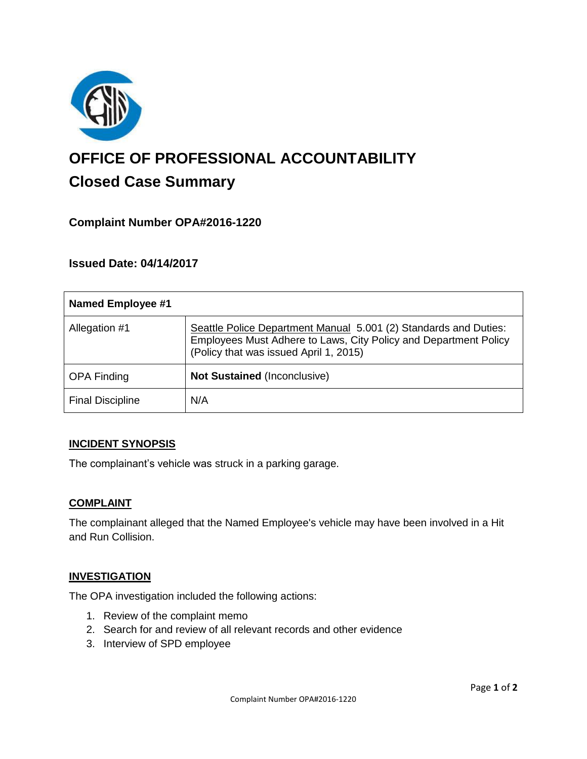

# **OFFICE OF PROFESSIONAL ACCOUNTABILITY Closed Case Summary**

## **Complaint Number OPA#2016-1220**

## **Issued Date: 04/14/2017**

| Named Employee #1       |                                                                                                                                                                                |
|-------------------------|--------------------------------------------------------------------------------------------------------------------------------------------------------------------------------|
| Allegation #1           | Seattle Police Department Manual 5.001 (2) Standards and Duties:<br>Employees Must Adhere to Laws, City Policy and Department Policy<br>(Policy that was issued April 1, 2015) |
| <b>OPA Finding</b>      | <b>Not Sustained (Inconclusive)</b>                                                                                                                                            |
| <b>Final Discipline</b> | N/A                                                                                                                                                                            |

#### **INCIDENT SYNOPSIS**

The complainant's vehicle was struck in a parking garage.

#### **COMPLAINT**

The complainant alleged that the Named Employee's vehicle may have been involved in a Hit and Run Collision.

#### **INVESTIGATION**

The OPA investigation included the following actions:

- 1. Review of the complaint memo
- 2. Search for and review of all relevant records and other evidence
- 3. Interview of SPD employee